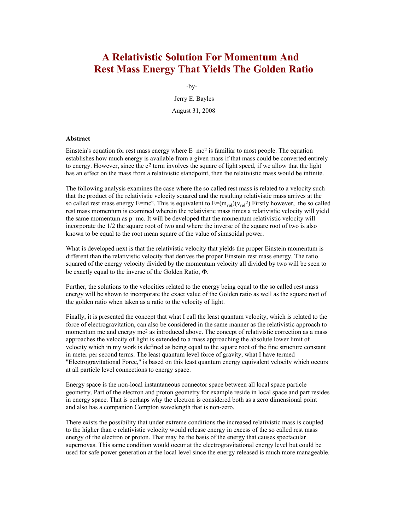# **A Relativistic Solution For Momentum And Rest Mass Energy That Yields The Golden Ratio**

-by-

Jerry E. Bayles August 31, 2008

## **Abstract**

Einstein's equation for rest mass energy where E=mc2 is familiar to most people. The equation establishes how much energy is available from a given mass if that mass could be converted entirely to energy. However, since the  $c^2$  term involves the square of light speed, if we allow that the light has an effect on the mass from a relativistic standpoint, then the relativistic mass would be infinite.

The following analysis examines the case where the so called rest mass is related to a velocity such that the product of the relativistic velocity squared and the resulting relativistic mass arrives at the so called rest mass energy E=mc<sup>2</sup>. This is equivalent to  $E=(m_{rel})(v_{rel}^2)$  Firstly however, the so called rest mass momentum is examined wherein the relativistic mass times a relativistic velocity will yield the same momentum as p=mc. It will be developed that the momentum relativistic velocity will incorporate the 1/2 the square root of two and where the inverse of the square root of two is also known to be equal to the root mean square of the value of sinusoidal power.

What is developed next is that the relativistic velocity that yields the proper Einstein momentum is different than the relativistic velocity that derives the proper Einstein rest mass energy. The ratio squared of the energy velocity divided by the momentum velocity all divided by two will be seen to be exactly equal to the inverse of the Golden Ratio, Φ.

Further, the solutions to the velocities related to the energy being equal to the so called rest mass energy will be shown to incorporate the exact value of the Golden ratio as well as the square root of the golden ratio when taken as a ratio to the velocity of light.

Finally, it is presented the concept that what I call the least quantum velocity, which is related to the force of electrogravitation, can also be considered in the same manner as the relativistic approach to momentum mc and energy mc<sup>2</sup> as introduced above. The concept of relativistic correction as a mass approaches the velocity of light is extended to a mass approaching the absolute lower limit of velocity which in my work is defined as being equal to the square root of the fine structure constant in meter per second terms. The least quantum level force of gravity, what I have termed "Electrogravitational Force," is based on this least quantum energy equivalent velocity which occurs at all particle level connections to energy space.

Energy space is the non-local instantaneous connector space between all local space particle geometry. Part of the electron and proton geometry for example reside in local space and part resides in energy space. That is perhaps why the electron is considered both as a zero dimensional point and also has a companion Compton wavelength that is non-zero.

There exists the possibility that under extreme conditions the increased relativistic mass is coupled to the higher than c relativistic velocity would release energy in excess of the so called rest mass energy of the electron or proton. That may be the basis of the energy that causes spectacular supernovas. This same condition would occur at the electrogravitational energy level but could be used for safe power generation at the local level since the energy released is much more manageable.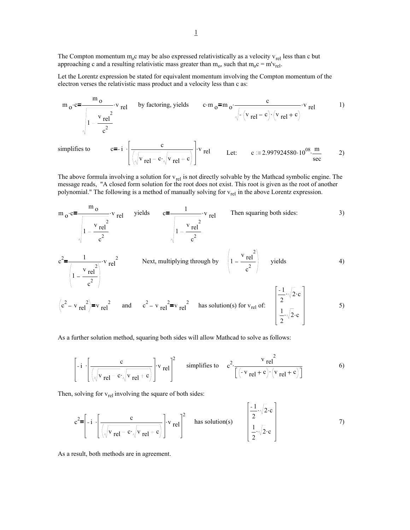The Compton momentum  $m_0c$  may be also expressed relativistically as a velocity  $v_{rel}$  less than c but approaching c and a resulting relativistic mass greater than  $m_0$ , such that  $m_0c = m'v_{rel}$ .

Let the Lorentz expression be stated for equivalent momentum involving the Compton momentum of the electron verses the relativistic mass product and a velocity less than c as:

$$
m_0 \cdot c = \frac{m_0}{\sqrt{1 - \frac{v_{rel}^2}{c^2}}} \cdot v_{rel} \qquad \text{by factoring, yields} \qquad c \cdot m_0 = m_0 \cdot \frac{c}{\sqrt{-\left(v_{rel} - c\right) \cdot \left(v_{rel} + c\right)}} \cdot v_{rel} \qquad (1)
$$
  
simplifies to  

$$
c = -i \cdot \left[ \frac{c}{\sqrt{v_{rel} - c} \cdot \sqrt{v_{rel} + c}} \right] \cdot v_{rel} \qquad \text{Let:} \qquad c := 2.997924580 \cdot 10^{08} \cdot \frac{m}{\text{sec}} \qquad (2)
$$

The above formula involving a solution for  $v_{rel}$  is not directly solvable by the Mathcad symbolic engine. The message reads, "A closed form solution for the root does not exist. This root is given as the root of another polynomial." The following is a method of manually solving for  $v_{rel}$  in the above Lorentz expression.

m<sub>o</sub>·c=
$$
\frac{m_o}{\sqrt{1-\frac{v_{rel}^2}{c^2}}}
$$
·v<sub>rel</sub> yields  $c=\frac{1}{\sqrt{1-\frac{v_{rel}^2}{c^2}}}$ ·v<sub>rel</sub> Then squaring both sides: 3)  
 $c^2=\frac{1}{\sqrt{1-\frac{v_{rel}^2}{c^2}}}$ ·v<sub>rel</sub><sup>2</sup> Next, multiplying through by  $\sqrt{1-\frac{v_{rel}^2}{c^2}}$  yields 4)

$$
\left(c^{2} - v_{rel}^{2}\right) = v_{rel}^{2} \quad \text{and} \quad c^{2} - v_{rel}^{2} = v_{rel}^{2} \quad \text{has solution(s) for } v_{rel} \text{ of:} \quad \begin{bmatrix} -1 & \sqrt{2} \cdot c \\ \frac{1}{2} & \sqrt{2} \cdot c \\ \frac{1}{2} & \sqrt{2} \cdot c \end{bmatrix}
$$

As a further solution method, squaring both sides will allow Mathcad to solve as follows:

$$
\left[ -i \left[ \frac{c}{\sqrt{v_{rel} - c}\sqrt{v_{rel} + c}} \right] \cdot v_{rel} \right]^2 \quad \text{ simplifies to} \quad c^2 \cdot \frac{v_{rel}^2}{\left[ \left( -v_{rel} + c \right) \cdot \left( v_{rel} + c \right) \right]}
$$

Then, solving for  $v_{rel}$  involving the square of both sides:

$$
c^{2} = \left[ -i \cdot \left[ \frac{c}{\sqrt{v_{rel} - c} \cdot \sqrt{v_{rel} + c}} \right] \cdot v_{rel} \right]^{2}
$$
 has solution(s) 
$$
\left[ \frac{-1}{2} \cdot \sqrt{2} \cdot c \right]
$$
 7)

As a result, both methods are in agreement.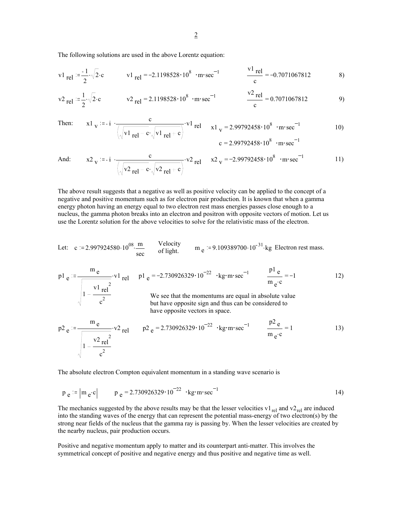The following solutions are used in the above Lorentz equation:

$$
v1_{\text{rel}} = \frac{-1}{2} \sqrt{2} \cdot c \qquad v1_{\text{rel}} = -2.1198528 \cdot 10^8 \cdot m \cdot \text{sec}^{-1} \qquad \frac{v1_{\text{rel}}}{c} = -0.7071067812 \qquad 8)
$$

$$
\text{v2}_{\text{rel}} := \frac{1}{2} \sqrt{2} \cdot \text{c} \qquad \text{v2}_{\text{rel}} = 2.1198528 \cdot 10^8 \cdot \text{m} \cdot \text{sec}^{-1} \qquad \frac{\text{v2}_{\text{rel}}}{\text{c}} = 0.7071067812 \qquad 9)
$$

 $c^2$ 

Then: 
$$
x1_V := -i \frac{c}{\sqrt{v1_{rel} - c} \sqrt{v1_{rel} + c}}
$$
  $x1_V = 2.99792458 \cdot 10^8 \cdot m \cdot sec^{-1}$  (10)  
 $c = 2.99792458 \cdot 10^8 \cdot m \cdot sec^{-1}$ 

And: 
$$
x2_v := -i \frac{c}{\sqrt{v^2 - 1} - c \sqrt{v^2 - 1} + c}
$$
  $x2_v = -2.99792458 \cdot 10^8 \cdot m \cdot sec^{-1}$  11)

The above result suggests that a negative as well as positive velocity can be applied to the concept of a negative and positive momentum such as for electron pair production. It is known that when a gamma energy photon having an energy equal to two electron rest mass energies passes close enough to a nucleus, the gamma photon breaks into an electron and positron with opposite vectors of motion. Let us use the Lorentz solution for the above velocities to solve for the relativistic mass of the electron.

Let: 
$$
c = 2.997924580 \cdot 10^{08} \cdot \frac{m}{sec}
$$
 Velocity  $m_e = 9.109389700 \cdot 10^{-31}$  kg Electron rest mass.

$$
p1_e := \frac{m_e}{\sqrt{\frac{v1_{rel}}{1 - \frac{v1_{rel}}{1 - \dots}}}}
$$
 
$$
v1_{rel} = 1 - \frac{p1_e}{1 - \frac{v1_{rel}}{1 - \dots}}
$$
 
$$
p1_e = -2.730926329 \cdot 10^{-22} \cdot \text{kg} \cdot \text{m} \cdot \text{sec}^{-1}
$$
 
$$
m_e c = -1
$$
 
$$
p1_e = -1
$$
 
$$
p1_e = -2.730926329 \cdot 10^{-22} \cdot \text{kg} \cdot \text{m} \cdot \text{sec}^{-1}
$$
 
$$
m_e c = 12
$$

We see that the momentums are equal in absolute value but have opposite sign and thus can be considered to have opposite vectors in space.

$$
p2_e := \frac{m_e}{\sqrt{1 - \frac{v^2}{c^2}r^2}}
$$
  $v^2_{rel}$   $p2_e = 2.730926329 \cdot 10^{-22}$   $\cdot \text{kg} \cdot \text{m} \cdot \text{sec}^{-1}$   $\frac{p2_e}{m_e c} = 1$  13)

The absolute electron Compton equivalent momentum in a standing wave scenario is

$$
p_e
$$
 =  $|m_e \cdot c|$   $p_e$  = 2.730926329  $\cdot 10^{-22}$   $\cdot \text{kg} \cdot \text{m} \cdot \text{sec}^{-1}$  14)

The mechanics suggested by the above results may be that the lesser velocities v1 $_{rel}$  and v2 $_{rel}$  are induced into the standing waves of the energy that can represent the potential mass-energy of two electron(s) by the strong near fields of the nucleus that the gamma ray is passing by. When the lesser velocities are created by the nearby nucleus, pair production occurs.

Positive and negative momentum apply to matter and its counterpart anti-matter. This involves the symmetrical concept of positive and negative energy and thus positive and negative time as well.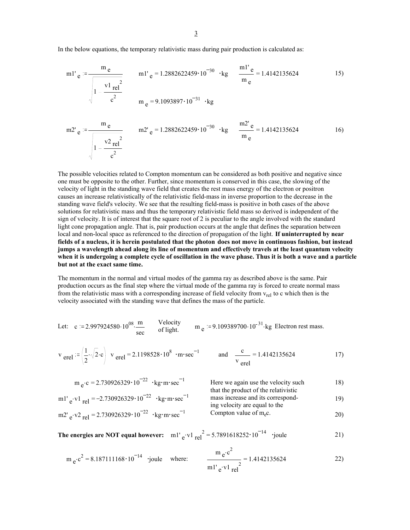In the below equations, the temporary relativistic mass during pair production is calculated as:

$$
m1' e := \frac{m e}{\sqrt{1 - \frac{v1}{c^2}}} \qquad m1' e = 1.2882622459 \cdot 10^{-30} \cdot kg \qquad \frac{m1' e}{m e} = 1.4142135624 \qquad (15)
$$

m2' e := 
$$
\frac{m_e}{\sqrt{1 - \frac{v^2 e^2}{c^2}}}
$$
 m2' e = 1.2882622459·10<sup>-30</sup> · kg  $\frac{m2' e}{m_e}$  = 1.4142135624

The possible velocities related to Compton momentum can be considered as both positive and negative since one must be opposite to the other. Further, since momentum is conserved in this case, the slowing of the velocity of light in the standing wave field that creates the rest mass energy of the electron or positron causes an increase relativistically of the relativistic field-mass in inverse proportion to the decrease in the standing wave field's velocity. We see that the resulting field-mass is positive in both cases of the above solutions for relativistic mass and thus the temporary relativistic field mass so derived is independent of the sign of velocity. It is of interest that the square root of 2 is peculiar to the angle involved with the standard light cone propagation angle. That is, pair production occurs at the angle that defines the separation between local and non-local space as referenced to the direction of propagation of the light. **If uninterrupted by near fields of a nucleus, it is herein postulated that the photon does not move in continuous fashion, but instead jumps a wavelength ahead along its line of momentum and effectively travels at the least quantum velocity when it is undergoing a complete cycle of oscillation in the wave phase. Thus it is both a wave and a particle but not at the exact same time.**

The momentum in the normal and virtual modes of the gamma ray as described above is the same. Pair production occurs as the final step where the virtual mode of the gamma ray is forced to create normal mass from the relativistic mass with a corresponding increase of field velocity from  $v_{rel}$  to c which then is the velocity associated with the standing wave that defines the mass of the particle.

Let: 
$$
c = 2.997924580 \cdot 10^{08} \cdot \frac{m}{sec}
$$
 Velocity  $m_e = 9.109389700 \cdot 10^{-31} \cdot kg$  Electron rest mass.

$$
v_{\text{erel}} = \left(\frac{1}{2} \cdot \sqrt{2} \cdot c\right)
$$
  $v_{\text{erel}} = 2.1198528 \cdot 10^8 \cdot m \cdot \text{sec}^{-1}$  and  $\frac{c}{v_{\text{erel}}} = 1.4142135624$  17)

$$
m_{e} \cdot c = 2.730926329 \cdot 10^{-22} \cdot kg \cdot m \cdot sec^{-1}
$$
  
\n
$$
m!' e \cdot v1_{rel} = -2.730926329 \cdot 10^{-22} \cdot kg \cdot m \cdot sec^{-1}
$$
  
\n
$$
m!' e \cdot v1_{rel} = -2.730926329 \cdot 10^{-22} \cdot kg \cdot m \cdot sec^{-1}
$$
  
\nHere we again use the velocity such that the product of the relativistic mass increase and its corresponding velocity are equal to the

$$
m2' e• v2 rel = 2.730926329 \cdot 10-22 \cdot kg·m·sec-1
$$
 Compton value of m<sub>e</sub>c. 20)

**The energies are NOT equal however:** m1'  $_{e}$ ·v1  $_{rel}^{2}$  = 5.7891618252 $\cdot$ 10<sup>-14</sup> ·joule 21)

$$
m_e \cdot e^2 = 8.187111168 \cdot 10^{-14}
$$
 'joule where:  $\frac{m_e \cdot e^2}{m l' e \cdot V l_{rel}^2} = 1.4142135624$  22)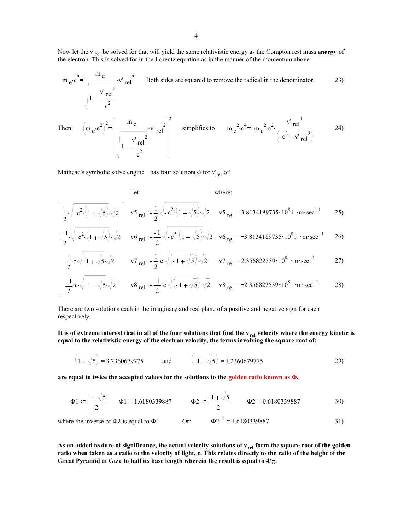Now let the v<sub>erel</sub> be solved for that will yield the same relativistic energy as the Compton rest mass energy of the electron. This is solved for in the Lorentz equation as in the manner of the momentum above.

$$
m_e \cdot c^2 = \frac{m_e}{\sqrt{1 - \frac{v' \text{ rel}^2}{c^2}}}
$$
 Both sides are squared to remove the radical in the denominator.  
Then: 
$$
(m_e \cdot c^2)^2 = \frac{m_e}{\sqrt{1 - \frac{v' \text{ rel}^2}{c^2}}}
$$
 simplifies to 
$$
m_e^2 \cdot c^4 = m_e^2 \cdot c^2 \cdot \frac{v' \text{ rel}^4}{\sqrt{1 - \frac{v' \text{ rel}^2}{c^2}}}
$$
 24)

Mathcad's symbolic solve engine has four solution(s) for  $v'_{rel}$  of:

 $c^2$ 

2

Let:  
\n
$$
\frac{1}{2}\sqrt{-c^{2}\cdot(1+\sqrt{5})}\cdot\sqrt{2}\left[\sqrt{5}\text{ rel}\right] = \frac{1}{2}\sqrt{-c^{2}\cdot(1+\sqrt{5})}\cdot\sqrt{2}\sqrt{5}\text{ rel} = 3.8134189735 \cdot 10^{8} \text{ i} \cdot \text{m} \cdot \text{sec}^{-1}
$$
 25)

$$
\frac{1}{2} \sqrt{-c^2 \left(1 + \sqrt{5}\right)} \sqrt{2} \quad \text{v6}_{\text{rel}} = \frac{1}{2} \sqrt{-c^2 \left(1 + \sqrt{5}\right)} \sqrt{2} \quad \text{v6}_{\text{rel}} = -3.8134189735 \cdot 10^8 \text{ i} \cdot \text{m} \cdot \text{sec}^{-1} \tag{26}
$$

$$
\frac{1}{2} \cdot c \cdot \sqrt{-1 + \sqrt{5}} \cdot \sqrt{2} \qquad v7 \text{ rel } := \frac{1}{2} \cdot c \cdot \sqrt{(-1 + \sqrt{5})} \cdot \sqrt{2} \qquad v7 \text{ rel } = 2.356822539 \cdot 10^8 \cdot \text{m} \cdot \text{sec}^{-1} \tag{27}
$$

$$
\frac{-1}{2} \cdot c \cdot \sqrt{-1 + \sqrt{5}} \cdot \sqrt{2} \quad v8 \text{ rel } = \frac{-1}{2} \cdot c \cdot \sqrt{(-1 + \sqrt{5})} \cdot \sqrt{2} \quad v8 \text{ rel } = -2.356822539 \cdot 10^8 \text{ } \cdot \text{m} \cdot \text{sec}^{-1} \tag{28}
$$

There are two solutions each in the imaginary and real plane of a positive and negative sign for each respectively.

It is of extreme interest that in all of the four solutions that find the v<sub>rel</sub> velocity where the energy kinetic is **equal to the relativistic energy of the electron velocity, the terms involving the square root of:**

$$
\left(1+\sqrt{5}\right) = 3.2360679775 \qquad \text{and} \qquad \left(-1+\sqrt{5}\right) = 1.2360679775 \qquad (29)
$$

**are equal to twice the accepted values for the solutions to the golden ratio known as** Φ**.**

$$
\Phi1 := \frac{1+\sqrt{5}}{2} \qquad \Phi1 = 1.6180339887 \qquad \Phi2 := \frac{-1+\sqrt{5}}{2} \qquad \Phi2 = 0.6180339887 \qquad 30)
$$

where the inverse of  $\Phi$ 2 is equal to  $\Phi$ 1. Or:  $\Phi$ 2<sup>-1</sup> = 1.6180339887 31)

As an added feature of significance, the actual velocity solutions of v<sub>rel</sub> form the square root of the golden **ratio when taken as a ratio to the velocity of light, c. This relates directly to the ratio of the height of the Great Pyramid at Giza to half its base length wherein the result is equal to 4/**π**.**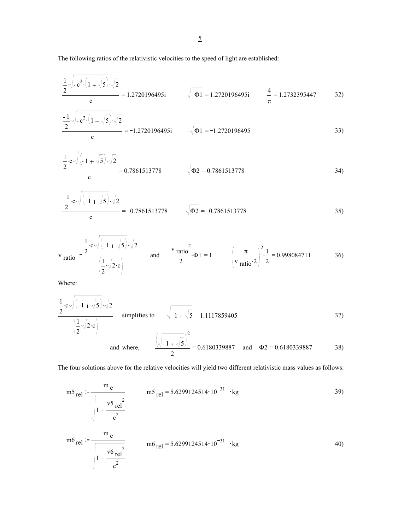The following ratios of the relativistic velocities to the speed of light are established:

$$
\frac{1}{2} \sqrt{-c^2 \left(1 + \sqrt{5}\right)} \sqrt{2}
$$
  
\nc = 1.2720196495i  $\sqrt{-\Phi1} = 1.2720196495i$   $\frac{4}{\pi} = 1.2732395447$  32)

$$
\frac{-1}{2} \sqrt{-c^2 \cdot (1 + \sqrt{5})} \cdot \sqrt{2}
$$
  

$$
= -1.2720196495i \qquad -\sqrt{\Phi 1} = -1.2720196495
$$
 (33)

$$
\frac{1}{2} \cdot c \cdot \sqrt{(-1 + \sqrt{5}) \cdot \sqrt{2}}
$$
  
\n
$$
= 0.7861513778
$$
\n
$$
\sqrt{\Phi 2} = 0.7861513778
$$
\n(34)

$$
\frac{-1}{2} \cdot c \cdot \sqrt{(-1+\sqrt{5})} \cdot \sqrt{2}
$$
  

$$
= -0.7861513778 \qquad -\sqrt{\Phi 2} = -0.7861513778
$$
 (35)

$$
\mathbf{v}_{\text{ratio}} := \frac{\frac{1}{2} \cdot \mathbf{c} \cdot \sqrt{(-1 + \sqrt{5}) \cdot \sqrt{2}}}{\left(\frac{1}{2} \cdot \sqrt{2} \cdot \mathbf{c}\right)} \quad \text{and} \quad \frac{\mathbf{v}_{\text{ratio}}^2}{2} \cdot \mathbf{\Phi}1 = 1 \quad \left(\frac{\pi}{\mathbf{v}_{\text{ratio}}^2}\right)^2 \cdot \frac{1}{2} = 0.998084711 \quad 36)
$$

Where:

$$
\frac{1}{2} \cdot c \cdot \sqrt{(-1 + \sqrt{5})} \cdot \sqrt{2}
$$
\nsimplifies to\n
$$
\sqrt{-1 + \sqrt{5}} = 1.1117859405
$$
\n
$$
\left(\frac{1}{2} \cdot \sqrt{2} \cdot c\right)
$$
\nand where,\n
$$
\frac{\left(\sqrt{-1 + \sqrt{5}}\right)^2}{2} = 0.6180339887
$$
\nand  $\Phi_2 = 0.6180339887$ 

The four solutions above for the relative velocities will yield two different relativistic mass values as follows:

$$
m5_{\text{rel}} := \frac{m_e}{\sqrt{1 - \frac{v5_{\text{rel}}^2}{c^2}}}
$$
\n
$$
m5_{\text{rel}} = 5.6299124514 \cdot 10^{-31} \cdot \text{kg}
$$
\n
$$
m6_{\text{rel}} := \frac{m_e}{\sqrt{1 - \frac{v6_{\text{rel}}^2}{c^2}}}
$$
\n
$$
m6_{\text{rel}} = 5.6299124514 \cdot 10^{-31} \cdot \text{kg}
$$
\n
$$
m6_{\text{rel}} = 5.6299124514 \cdot 10^{-31} \cdot \text{kg}
$$
\n
$$
m6_{\text{rel}} = 5.6299124514 \cdot 10^{-31} \cdot \text{kg}
$$
\n
$$
m6_{\text{rel}} = 5.6299124514 \cdot 10^{-31} \cdot \text{kg}
$$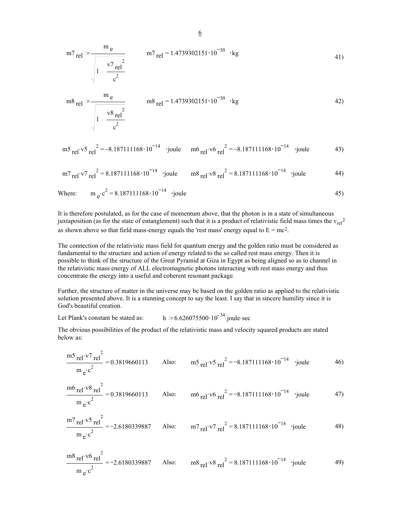$$
m7_{\text{rel}} := \frac{m_e}{\sqrt{1 - \frac{v7_{\text{rel}}^2}{c^2}}}
$$
 
$$
m7_{\text{rel}} = 1.4739302151 \cdot 10^{-30} \cdot \text{kg}
$$
 (41)

$$
m8_{\text{rel}} = \frac{m_e}{\sqrt{1 - \frac{v^8 \text{ rel}^2}{c^2}}}
$$
 
$$
m8_{\text{rel}} = 1.4739302151 \cdot 10^{-30} \cdot \text{kg}
$$
 (42)

$$
m5_{\text{rel}} \cdot v5_{\text{rel}}^2 = -8.187111168 \cdot 10^{-14} \quad \text{joule} \quad m6_{\text{rel}} \cdot v6_{\text{rel}}^2 = -8.187111168 \cdot 10^{-14} \quad \text{joule} \tag{43}
$$

$$
m_{{\text{rel}}}^{V7}r\text{el}^2 = 8.187111168 \cdot 10^{-14}
$$
 'joule  $m_{{\text{rel}}}^{V8}r\text{el}^2 = 8.187111168 \cdot 10^{-14}$  'joule 44)

Where: 
$$
m_e \cdot c^2 = 8.187111168 \cdot 10^{-14}
$$
 'joule 45)

It is therefore postulated, as for the case of momentum above, that the photon is in a state of simultaneous juxtaposition (as for the state of entanglement) such that it is a product of relativistic field mass times the  $v_{rel}^2$ as shown above so that field mass-energy equals the 'rest mass' energy equal to  $E = mc^2$ .

The connection of the relativistic mass field for quantum energy and the golden ratio must be considered as fundamental to the structure and action of energy related to the so called rest mass energy. Then it is possible to think of the structure of the Great Pyramid at Giza in Egypt as being aligned so as to channel in the relativistic mass energy of ALL electromagnetic photons interacting with rest mass energy and thus concentrate the energy into a useful and coherent resonant package.

Further, the structure of matter in the universe may be based on the golden ratio as applied to the relativistic solution presented above. It is a stunning concept to say the least. I say that in sincere humility since it is God's beautiful creation.

Let Plank's constant be stated as: h  $= 6.626075500 \cdot 10^{-34}$  joule sec

 $\overline{2}$ 

The obvious possibilities of the product of the relativistic mass and velocity squared products are stated below as:

$$
\frac{m5 \text{ rel} \cdot v7 \text{ rel}^2}{m \text{ e} \cdot c^2} = 0.3819660113
$$
 Also: 
$$
m5 \text{ rel} \cdot v5 \text{ rel}^2 = -8.187111168 \cdot 10^{-14}
$$
 'joule 46)

$$
\frac{m6 \text{ rel} \cdot v8 \text{ rel}^2}{m \text{ e} \cdot \text{c}^2} = 0.3819660113
$$
 Also: 
$$
m6 \text{ rel} \cdot v6 \text{ rel}^2 = -8.187111168 \cdot 10^{-14}
$$
 'joule 47)

$$
\frac{m7 \text{ rel} \cdot v5 \text{ rel}^2}{m \text{ e} \cdot c^2} = -2.6180339887 \qquad \text{Also:} \qquad m7 \text{ rel} \cdot v7 \text{ rel}^2 = 8.187111168 \cdot 10^{-14} \quad \text{'joule} \tag{48}
$$

$$
\frac{m8 \text{ rel} \cdot v6 \text{ rel}^2}{m \text{ e} \cdot c^2} = -2.6180339887
$$
 Also: 
$$
m8 \text{ rel} \cdot v8 \text{ rel}^2 = 8.187111168 \cdot 10^{-14}
$$
 'joule 49)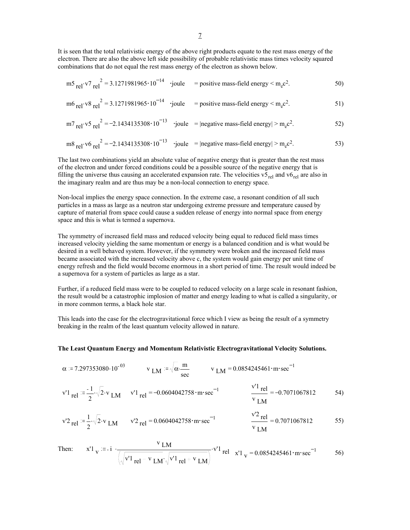It is seen that the total relativistic energy of the above right products equate to the rest mass energy of the electron. There are also the above left side possibility of probable relativistic mass times velocity squared combinations that do not equal the rest mass energy of the electron as shown below.

$$
m5_{\text{rel}} \cdot v7_{\text{rel}}^2 = 3.1271981965 \cdot 10^{-14} \quad \text{joule} \quad = \text{positive mass-field energy} < m_e c^2. \tag{50}
$$

$$
m6_{\text{rel}} \cdot v8_{\text{rel}}^2 = 3.1271981965 \cdot 10^{-14} \quad \text{joule} \quad = \text{positive mass-field energy} < m_e c^2. \tag{51}
$$

$$
m_7 \text{ rel.} \text{ v5 rel}^2 = -2.1434135308 \cdot 10^{-13}
$$
 joule =  $|\text{negative mass-field energy}| > m_e c^2$ .

$$
m8_{\text{rel}} \cdot v6_{\text{rel}}^2 = -2.1434135308 \cdot 10^{-13} \quad \text{joule} \quad = |\text{negative mass-field energy}| > m_e c^2. \tag{53}
$$

The last two combinations yield an absolute value of negative energy that is greater than the rest mass of the electron and under forced conditions could be a possible source of the negative energy that is filling the universe thus causing an accelerated expansion rate. The velocities  $v_{rel}$  and  $v_{rel}$  are also in the imaginary realm and are thus may be a non-local connection to energy space.

Non-local implies the energy space connection. In the extreme case, a resonant condition of all such particles in a mass as large as a neutron star undergoing extreme pressure and temperature caused by capture of material from space could cause a sudden release of energy into normal space from energy space and this is what is termed a supernova.

The symmetry of increased field mass and reduced velocity being equal to reduced field mass times increased velocity yielding the same momentum or energy is a balanced condition and is what would be desired in a well behaved system. However, if the symmetry were broken and the increased field mass became associated with the increased velocity above c, the system would gain energy per unit time of energy refresh and the field would become enormous in a short period of time. The result would indeed be a supernova for a system of particles as large as a star.

Further, if a reduced field mass were to be coupled to reduced velocity on a large scale in resonant fashion, the result would be a catastrophic implosion of matter and energy leading to what is called a singularity, or in more common terms, a black hole star.

This leads into the case for the electrogravitational force which I view as being the result of a symmetry breaking in the realm of the least quantum velocity allowed in nature.

### **The Least Quantum Energy and Momentum Relativistic Electrogravitational Velocity Solutions.**

 $\alpha$  = 7.297353080.10<sup>-03</sup> v LM =  $\sqrt{\alpha} \frac{m}{sec}$  v LM = 0.0854245461 • m · sec<sup>-1</sup> v'1 <sub>rel</sub>  $=$   $\frac{-1}{2}$  $\sqrt{2}$ ·v<sub>LM</sub> v'1 <sub>rel</sub> = -0.0604042758 · m · sec 1  $\frac{v'1 \text{ rel}}{u}$  = v LM 0.7071067812 54)

$$
v^{\prime}2_{\text{rel}} := \frac{1}{2} \sqrt{2} \cdot v_{\text{LM}}
$$
  $v^{\prime}2_{\text{rel}} = 0.0604042758 \cdot \text{m} \cdot \text{sec}^{-1}$   $\frac{v^{\prime}2_{\text{rel}}}{v_{\text{LM}}} = 0.7071067812$  55)

Then: 
$$
x'1_V := -i \frac{v_{LM}}{\sqrt{\sqrt{v'1_{rel} - v_{LM}} \sqrt{v'1_{rel} + v_{LM}}}} \cdot v'^1
$$
 rel  $x'1_V = 0.0854245461 \cdot m \cdot sec^{-1}$  56)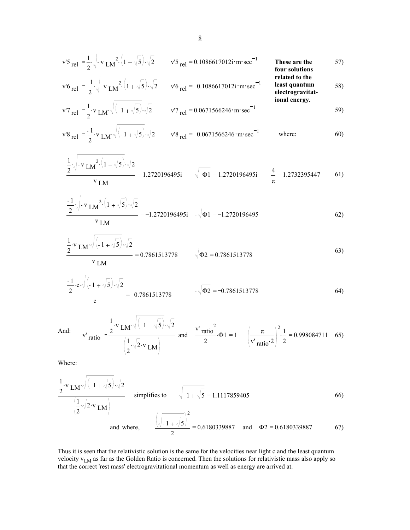$$
v'5_{\text{rel}} := \frac{1}{2} \sqrt{-v_{LM}^2 \cdot (1 + \sqrt{5})} \sqrt{2}
$$
 
$$
v'5_{\text{rel}} = 0.1086617012i \cdot m \cdot \text{sec}^{-1}
$$
 These are the four solutions  
\n
$$
v'6_{\text{rel}} := \frac{-1}{2} \sqrt{-v_{LM}^2 \cdot (1 + \sqrt{5})} \sqrt{2}
$$
 
$$
v'6_{\text{rel}} = -0.1086617012i \cdot m \cdot \text{sec}^{-1}
$$
 These are the four solutions related to the  
\nrelated to the  
\nleast quantum  
\nelectrogravitational energy.

$$
v'7 \text{ rel } = \frac{1}{2} \cdot v \text{ LM} \cdot \sqrt{(-1 + \sqrt{5})} \cdot \sqrt{2} \qquad v'7 \text{ rel } = 0.0671566246 \cdot \text{m} \cdot \text{sec}^{-1} \tag{59}
$$

$$
\mathbf{v}^{\prime} \mathbf{8}_{\text{rel}} := \frac{-1}{2} \cdot \mathbf{v} \operatorname{LM} \cdot \sqrt{\left(-1 + \sqrt{5}\right)} \cdot \sqrt{2} \qquad \mathbf{v}^{\prime} \mathbf{8}_{\text{rel}} = -0.0671566246 \cdot \text{m} \cdot \text{sec}^{-1} \qquad \text{where:} \qquad 60)
$$

$$
\frac{\frac{1}{2}\sqrt{-v_{LM}^{2}(1+\sqrt{5})}\cdot\sqrt{2}}{v_{LM}} = 1.2720196495i \qquad \sqrt{-\Phi1} = 1.2720196495i \qquad \frac{4}{\pi} = 1.2732395447 \qquad 61)
$$

$$
\frac{-1}{2} \sqrt{-v_{LM}^{2} \left(1 + \sqrt{5}\right)} \sqrt{2}
$$
\n
$$
= -1.2720196495i - \sqrt{\Phi 1} = -1.2720196495
$$
\n(62)

$$
\frac{1}{2} \cdot \mathbf{v}_{LM} \cdot \sqrt{(-1+\sqrt{5})} \cdot \sqrt{2}
$$
  
= 0.7861513778  $\sqrt{\Phi^2}$  = 0.7861513778 (63)

$$
\frac{-1}{2} \cdot c \cdot \sqrt{(-1 + \sqrt{5}) \cdot \sqrt{2}}
$$
  
\n
$$
= -0.7861513778
$$
\n64)

And: 
$$
v'_{\text{ratio}} = \frac{\frac{1}{2} \cdot v_{\text{LM}} \cdot \sqrt{(-1 + \sqrt{5})} \cdot \sqrt{2}}{\left(\frac{1}{2} \cdot \sqrt{2} \cdot v_{\text{LM}}\right)}
$$
 and  $\frac{v'_{\text{ratio}}^2}{2} \cdot \Phi1 = 1$   $\left(\frac{\pi}{v'_{\text{ratio}}^2}\right)^2 \cdot \frac{1}{2} = 0.998084711$  65)

Where:

$$
\frac{1}{2} \cdot \mathbf{v}_{LM} \cdot \sqrt{(-1 + \sqrt{5})} \cdot \sqrt{2}
$$
\nsimplifies to

\n
$$
\sqrt{-1 + \sqrt{5}} = 1.1117859405
$$
\nand where,

\n
$$
\frac{(\sqrt{-1 + \sqrt{5}})^2}{2} = 0.6180339887
$$
\nand

\n
$$
\Phi2 = 0.6180339887
$$
\n66)

Thus it is seen that the relativistic solution is the same for the velocities near light c and the least quantum velocity  $v_{LM}$  as far as the Golden Ratio is concerned. Then the solutions for relativistic mass also apply so that the correct 'rest mass' electrogravitational momentum as well as energy are arrived at.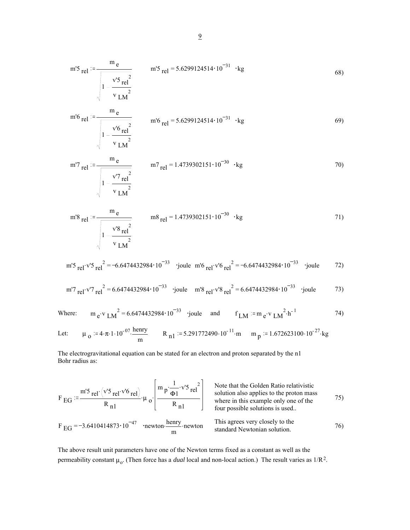m'5 rel 
$$
=
$$
  $\frac{m_e}{\sqrt{1-\frac{v^{'5} \text{rel}^2}{v_{LM}^2}}}$  m'5 rel  $=$  5.6299124514·10<sup>-31</sup> · kg (68)

m'6 rel = 
$$
\frac{m_e}{\sqrt{1 - \frac{v^6 \text{ rel}^2}{v \text{ LM}^2}}}
$$
 m'6 rel = 5.6299124514 \cdot 10<sup>-31</sup> \cdot kg (69)

m'7 rel 
$$
=
$$
  $\frac{m_e}{\sqrt{1 - \frac{v'7 \text{ rel}^2}{v \text{ LM}^2}}}$   $m$ 7 rel  $=$  1.4739302151·10<sup>-30</sup> · kg

m'8 rel 
$$
=
$$
  $\frac{m_e}{\sqrt{1-\frac{v^{'8} \text{ rel}^2}{v_{LM}^2}}}$  m8 rel  $=$  1.4739302151·10<sup>-30</sup> · kg

m'5 . <sup>=</sup> rel v'5 rel <sup>2</sup> 6.6474432984 <sup>10</sup> <sup>33</sup> joule m'6 . <sup>=</sup> rel v'6 rel <sup>2</sup> 6.6474432984 10 <sup>33</sup> joule 72)

m'7 . <sup>=</sup> rel v'7 rel <sup>2</sup> 6.6474432984 <sup>10</sup> <sup>33</sup> joule m'8 . <sup>=</sup> rel v'8 rel <sup>2</sup> 6.6474432984 10 <sup>33</sup> joule 73)

Where: 
$$
m_e \cdot v_{LM}^2 = 6.6474432984 \cdot 10^{-33}
$$
 joule and  $f_{LM} = m_e \cdot v_{LM}^2 \cdot h^{-1}$  74)

Let: 
$$
\mu_0 = 4 \cdot \pi \cdot 1 \cdot 10^{-07} \cdot \frac{\text{henry}}{\text{m}}
$$
  $R_{n1} = 5.291772490 \cdot 10^{-11} \cdot \text{m}$   $m_p = 1.672623100 \cdot 10^{-27} \cdot \text{kg}$ 

The electrogravitational equation can be stated for an electron and proton separated by the n1 Bohr radius as:

$$
F_{EG} = \frac{m'5 \text{ rel} \cdot (v'5 \text{ rel} \cdot v'6 \text{ rel})}{R_{n1}} \cdot \mu_o \cdot \left(\frac{m p \cdot \frac{1}{\phi_1} \cdot v'5 \text{ rel}}{R_{n1}}\right)
$$
\nNote that the Golden Ratio relativistic solution also applies to the proton mass where in this example only one of the four possible solutions is used.  
\n
$$
F_{EG} = -3.6410414873 \cdot 10^{-47}
$$
\n
$$
F_{EG} = -3.6410414873 \cdot 10^{-47}
$$
\n
$$
F_{EG} = -3.6410414873 \cdot 10^{-47}
$$
\n
$$
F_{EG} = -3.6410414873 \cdot 10^{-47}
$$
\n
$$
F_{EG} = -3.6410414873 \cdot 10^{-47}
$$
\n
$$
F_{EG} = -3.6410414873 \cdot 10^{-47}
$$
\n
$$
F_{EG} = -3.6410414873 \cdot 10^{-47}
$$
\n
$$
F_{EG} = -3.6410414873 \cdot 10^{-47}
$$
\n
$$
F_{EG} = -3.6410414873 \cdot 10^{-47}
$$
\n
$$
F_{EG} = -3.6410414873 \cdot 10^{-47}
$$
\n
$$
F_{EG} = -3.6410414873 \cdot 10^{-47}
$$
\n
$$
F_{EG} = -3.6410414873 \cdot 10^{-47}
$$
\n
$$
F_{EG} = -3.6410414873 \cdot 10^{-47}
$$
\n
$$
F_{EG} = -3.6410414873 \cdot 10^{-47}
$$
\n
$$
F_{EG} = -3.6410414873 \cdot 10^{-47}
$$
\n
$$
F_{EG} = -3.6410414873 \cdot 10^{-47}
$$
\n
$$
F_{EG} = -3.6410414873 \cdot 10^{-47}
$$
\n
$$
F_{EG} = -3.6410414873 \
$$

The above result unit parameters have one of the Newton terms fixed as a constant as well as the permeability constant  $\mu_o$ . (Then force has a *dual* local and non-local action.) The result varies as  $1/R^2$ .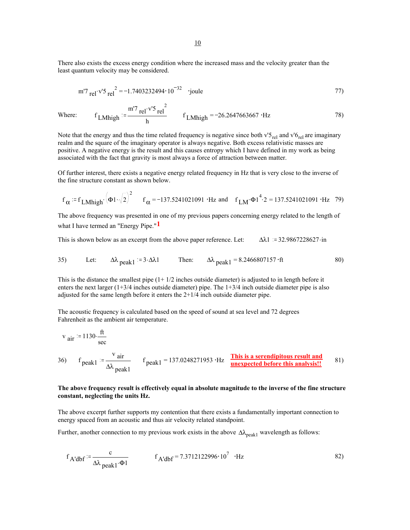There also exists the excess energy condition where the increased mass and the velocity greater than the least quantum velocity may be considered.

m'7 . <sup>=</sup> rel v'5 rel <sup>2</sup> 1.7403232494 10 <sup>32</sup> joule 77)

Where: 
$$
f_{LMhigh} = \frac{m'7 \text{ rel} \cdot v'5 \text{ rel}^2}{h}
$$
  $f_{LMhigh} = -26.2647663667 \cdot Hz$  78)

Note that the energy and thus the time related frequency is negative since both  $v^2S_{rel}$  and  $v^2S_{rel}$  are imaginary realm and the square of the imaginary operator is always negative. Both excess relativistic masses are positive. A negative energy is the result and this causes entropy which I have defined in my work as being associated with the fact that gravity is most always a force of attraction between matter.

Of further interest, there exists a negative energy related frequency in Hz that is very close to the inverse of the fine structure constant as shown below.

$$
f_{\alpha} = f_{LMhigh} \cdot (\Phi_1 \cdot \sqrt{2})^2
$$
  $f_{\alpha} = -137.5241021091 \cdot Hz$  and  $f_{LM} \cdot \Phi_1^4 \cdot 2 = 137.5241021091 \cdot Hz$  79)

The above frequency was presented in one of my previous papers concerning energy related to the length of what I have termed an "Energy Pipe."**1**

This is shown below as an excerpt from the above paper reference. Let:  $\Delta \lambda 1 = 32.9867228627 \cdot in$ 

35) Let: 
$$
\Delta \lambda_{\text{peak1}} = 3.2 \lambda 1
$$
 Then:  $\Delta \lambda_{\text{peak1}} = 8.2466807157 \cdot ft$  80)

This is the distance the smallest pipe  $(1 + 1/2)$  inches outside diameter) is adjusted to in length before it enters the next larger (1+3/4 inches outside diameter) pipe. The 1+3/4 inch outside diameter pipe is also adjusted for the same length before it enters the 2+1/4 inch outside diameter pipe.

The acoustic frequency is calculated based on the speed of sound at sea level and 72 degrees Fahrenheit as the ambient air temperature.

$$
v_{air} = 1130 \cdot \frac{ft}{sec}
$$
  
36)  $f_{peak1} = \frac{v_{air}}{\Delta\lambda_{peak1}}$   $f_{peak1} = 137.0248271953 \cdot Hz$  This is a serendipitous result and unexpected before this analysis! 81)

## **The above frequency result is effectively equal in absolute magnitude to the inverse of the fine structure constant, neglecting the units Hz.**

The above excerpt further supports my contention that there exists a fundamentally important connection to energy spaced from an acoustic and thus air velocity related standpoint.

Further, another connection to my previous work exists in the above  $\Delta\lambda_{\rm peak1}$  wavelength as follows:

$$
f_{A'dbf} := \frac{c}{\Delta\lambda_{peak1}\cdot\Phi1}
$$
  $f_{A'dbf} = 7.3712122996 \cdot 10^7 \cdot Hz$  (82)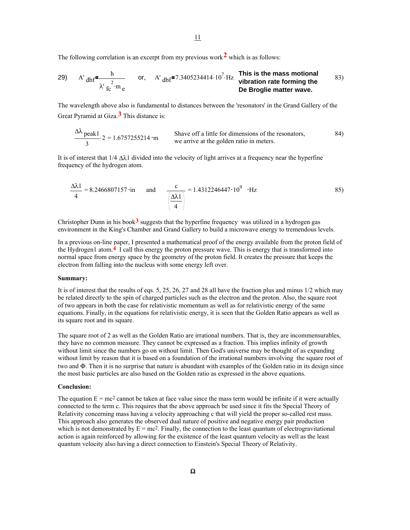The following correlation is an excerpt from my previous work**2** which is as follows:

29) A' 
$$
dbf^{\frac{h}{2}}
$$
 or, A'  $dbf^{\frac{h}{27.3405234414 \cdot 10^7} \cdot Hz}$  This is the mass motional vibration rate forming the De Broglie matter wave.

The wavelength above also is fundamental to distances between the 'resonators' in the Grand Gallery of the Great Pyramid at Giza.**3** This distance is:

$$
\frac{\Delta\lambda}{3}
$$
 peak1.2 = 1.6757255214 · m  
3  
1.6757255214 · m  
1.6757255214 · m  
1.6757255214 · m  
1.6757255214 · m  
1.6757255214 · m  
1.6757255214 · m  
1.6757255214 · m  
1.6757255214 · m  
1.6757255214 · m  
1.6757255214 · m  
1.6757255214 · m  
1.6757255214 · m  
1.6757255214 · m  
1.6757255214 · m  
1.6757255214 · m  
1.6757255214 · m  
1.6757255214 · m  
1.6757255214 · m  
1.6757255214 · m  
1.6757255214 · m  
1.6757255214 · m  
1.6757255214 · m  
1.6757255214 · m  
1.6757255214 · m  
1.6757255214 · m  
1.6757255214 · m  
1.6757255214 · m  
1.6757255214 · m  
1.6757255214 · m  
1.6757255214 · m  
1.6757255214 · m  
1.6757255214 · m  
1.6757255214 · m  
1.6757255214 · m  
1.6757255214 · m  
1.6757255214 · m  
1.6757255214 · m  
1.6757255214 · m  
1.6757255214 · m  
1.6757255214 · m  
1.6757255214 · m  
1.6757255214 · m  
1.6757255214 · m  
1.6757255214 · m  
1.6757255214 · m  
1.67

It is of interest that 1/4 ∆λ1 divided into the velocity of light arrives at a frequency near the hyperfine frequency of the hydrogen atom.

$$
\frac{\Delta\lambda 1}{4} = 8.2466807157 \text{ in} \quad \text{and} \quad \frac{c}{\frac{\Delta\lambda 1}{4}} = 1.4312246447 \text{·} 10^9 \text{·Hz}
$$
 (85)

Christopher Dunn in his book**3** suggests that the hyperfine frequency was utilized in a hydrogen gas environment in the King's Chamber and Grand Gallery to build a microwave energy to tremendous levels.

In a previous on-line paper, I presented a mathematical proof of the energy available from the proton field of the Hydrogen1 atom.**4** I call this energy the proton pressure wave. This is energy that is transformed into normal space from energy space by the geometry of the proton field. It creates the pressure that keeps the electron from falling into the nucleus with some energy left over.

#### **Summary:**

It is of interest that the results of eqs. 5, 25, 26, 27 and 28 all have the fraction plus and minus 1/2 which may be related directly to the spin of charged particles such as the electron and the proton. Also, the square root of two appears in both the case for relativistic momentum as well as for relativistic energy of the same equations. Finally, in the equations for relativistic energy, it is seen that the Golden Ratio appears as well as its square root and its square.

The square root of 2 as well as the Golden Ratio are irrational numbers. That is, they are incommensurables, they have no common measure. They cannot be expressed as a fraction. This implies infinity of growth without limit since the numbers go on without limit. Then God's universe may be thought of as expanding without limit by reason that it is based on a foundation of the irrational numbers involving the square root of two and Φ. Then it is no surprise that nature is abundant with examples of the Golden ratio in its design since the most basic particles are also based on the Golden ratio as expressed in the above equations.

#### **Conclusion:**

The equation  $E = mc^2$  cannot be taken at face value since the mass term would be infinite if it were actually connected to the term c. This requires that the above approach be used since it fits the Special Theory of Relativity concerning mass having a velocity approaching c that will yield the proper so-called rest mass. This approach also generates the observed dual nature of positive and negative energy pair production which is not demonstrated by  $E = mc^2$ . Finally, the connection to the least quantum of electrogravitational action is again reinforced by allowing for the existence of the least quantum velocity as well as the least quantum velocity also having a direct connection to Einstein's Special Theory of Relativity.